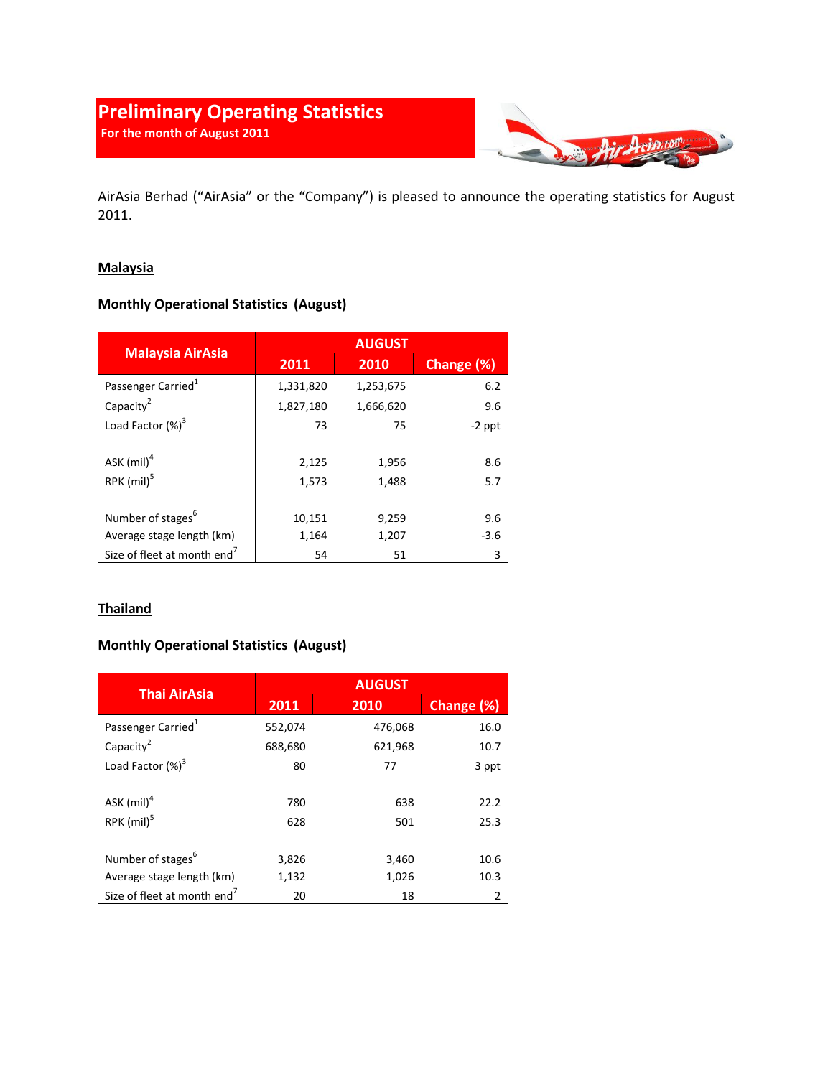# **Preliminary Operating Statistics For the month of August 2011**



AirAsia Berhad ("AirAsia" or the "Company") is pleased to announce the operating statistics for August 2011.

### **Malaysia**

## **Monthly Operational Statistics (August)**

| <b>Malaysia AirAsia</b>                 | <b>AUGUST</b> |           |            |
|-----------------------------------------|---------------|-----------|------------|
|                                         | 2011          | 2010      | Change (%) |
| Passenger Carried <sup>1</sup>          | 1,331,820     | 1,253,675 | 6.2        |
| Capacity <sup>2</sup>                   | 1,827,180     | 1,666,620 | 9.6        |
| Load Factor (%) <sup>3</sup>            | 73            | 75        | $-2$ ppt   |
|                                         |               |           |            |
| ASK $(mil)^4$                           | 2,125         | 1,956     | 8.6        |
| RPK $(mil)^5$                           | 1,573         | 1,488     | 5.7        |
|                                         |               |           |            |
| Number of stages <sup>6</sup>           | 10,151        | 9,259     | 9.6        |
| Average stage length (km)               | 1,164         | 1,207     | $-3.6$     |
| Size of fleet at month end <sup>7</sup> | 54            | 51        | 3          |

### **Thailand**

### **Monthly Operational Statistics (August)**

| <b>Thai AirAsia</b>                     | <b>AUGUST</b> |         |            |
|-----------------------------------------|---------------|---------|------------|
|                                         | 2011          | 2010    | Change (%) |
| Passenger Carried <sup>1</sup>          | 552,074       | 476,068 | 16.0       |
| Capacity <sup>2</sup>                   | 688,680       | 621,968 | 10.7       |
| Load Factor (%) <sup>3</sup>            | 80            | 77      | 3 ppt      |
| ASK $(mil)^4$                           | 780           | 638     | 22.2       |
| $RPK$ (mil) $5$                         | 628           | 501     | 25.3       |
| Number of stages <sup>6</sup>           | 3,826         | 3,460   | 10.6       |
| Average stage length (km)               | 1,132         | 1,026   | 10.3       |
| Size of fleet at month end <sup>7</sup> | 20            | 18      | 2          |